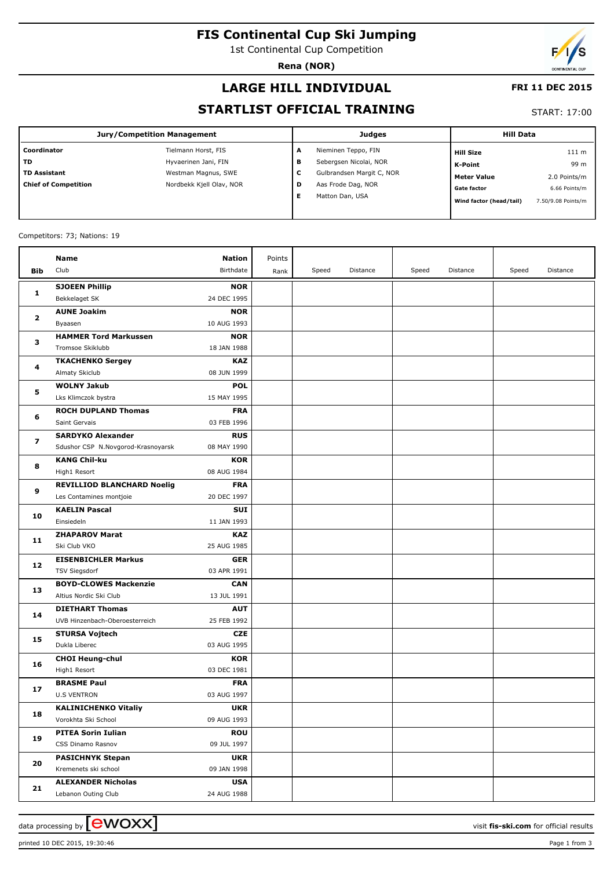# **FIS Continental Cup Ski Jumping**

1st Continental Cup Competition

**Rena (NOR)**

## **LARGE HILL INDIVIDUAL**

#### **FRI 11 DEC 2015**

## **STARTLIST OFFICIAL TRAINING**

START: 17:00

| <b>Jury/Competition Management</b> |                          |   | <b>Judges</b>             | <b>Hill Data</b>        |                    |  |
|------------------------------------|--------------------------|---|---------------------------|-------------------------|--------------------|--|
| Coordinator                        | Tielmann Horst, FIS      | А | Nieminen Teppo, FIN       | <b>Hill Size</b>        | 111 m              |  |
| TD                                 | Hyvaerinen Jani, FIN     | в | Sebergsen Nicolai, NOR    | K-Point                 | 99 m               |  |
| <b>TD Assistant</b>                | Westman Magnus, SWE      | С | Gulbrandsen Margit C, NOR | <b>Meter Value</b>      | 2.0 Points/m       |  |
| <b>Chief of Competition</b>        | Nordbekk Kjell Olav, NOR | D | Aas Frode Dag, NOR        | <b>Gate factor</b>      | 6.66 Points/m      |  |
|                                    |                          | Е | Matton Dan, USA           | Wind factor (head/tail) | 7.50/9.08 Points/m |  |
|                                    |                          |   |                           |                         |                    |  |

#### Competitors: 73; Nations: 19

|                        | Name                               | <b>Nation</b> | Points |       |          |       |          |       |          |
|------------------------|------------------------------------|---------------|--------|-------|----------|-------|----------|-------|----------|
| Bib                    | Club                               | Birthdate     | Rank   | Speed | Distance | Speed | Distance | Speed | Distance |
|                        | <b>SJOEEN Phillip</b>              | <b>NOR</b>    |        |       |          |       |          |       |          |
| 1                      | Bekkelaget SK                      | 24 DEC 1995   |        |       |          |       |          |       |          |
| $\mathbf{z}$<br>з<br>4 | <b>AUNE Joakim</b>                 | <b>NOR</b>    |        |       |          |       |          |       |          |
|                        | Byaasen                            | 10 AUG 1993   |        |       |          |       |          |       |          |
|                        | <b>HAMMER Tord Markussen</b>       | <b>NOR</b>    |        |       |          |       |          |       |          |
|                        | Tromsoe Skiklubb                   | 18 JAN 1988   |        |       |          |       |          |       |          |
|                        | <b>TKACHENKO Sergey</b>            | <b>KAZ</b>    |        |       |          |       |          |       |          |
|                        | Almaty Skiclub                     | 08 JUN 1999   |        |       |          |       |          |       |          |
|                        | <b>WOLNY Jakub</b>                 | <b>POL</b>    |        |       |          |       |          |       |          |
| 5                      | Lks Klimczok bystra                | 15 MAY 1995   |        |       |          |       |          |       |          |
|                        | <b>ROCH DUPLAND Thomas</b>         | <b>FRA</b>    |        |       |          |       |          |       |          |
| 6                      | Saint Gervais                      | 03 FEB 1996   |        |       |          |       |          |       |          |
|                        | <b>SARDYKO Alexander</b>           | <b>RUS</b>    |        |       |          |       |          |       |          |
| 7                      | Sdushor CSP N.Novgorod-Krasnoyarsk | 08 MAY 1990   |        |       |          |       |          |       |          |
|                        | <b>KANG Chil-ku</b>                | <b>KOR</b>    |        |       |          |       |          |       |          |
| 8                      | High1 Resort                       | 08 AUG 1984   |        |       |          |       |          |       |          |
|                        | <b>REVILLIOD BLANCHARD Noelig</b>  | <b>FRA</b>    |        |       |          |       |          |       |          |
| 9                      | Les Contamines montjoie            | 20 DEC 1997   |        |       |          |       |          |       |          |
| 10                     | <b>KAELIN Pascal</b>               | <b>SUI</b>    |        |       |          |       |          |       |          |
|                        | Einsiedeln                         | 11 JAN 1993   |        |       |          |       |          |       |          |
| 11                     | <b>ZHAPAROV Marat</b>              | <b>KAZ</b>    |        |       |          |       |          |       |          |
|                        | Ski Club VKO                       | 25 AUG 1985   |        |       |          |       |          |       |          |
|                        | <b>EISENBICHLER Markus</b>         | <b>GER</b>    |        |       |          |       |          |       |          |
| 12                     | TSV Siegsdorf                      | 03 APR 1991   |        |       |          |       |          |       |          |
| 13                     | <b>BOYD-CLOWES Mackenzie</b>       | <b>CAN</b>    |        |       |          |       |          |       |          |
|                        | Altius Nordic Ski Club             | 13 JUL 1991   |        |       |          |       |          |       |          |
| 14                     | <b>DIETHART Thomas</b>             | <b>AUT</b>    |        |       |          |       |          |       |          |
|                        | UVB Hinzenbach-Oberoesterreich     | 25 FEB 1992   |        |       |          |       |          |       |          |
| 15                     | <b>STURSA Vojtech</b>              | <b>CZE</b>    |        |       |          |       |          |       |          |
|                        | Dukla Liberec                      | 03 AUG 1995   |        |       |          |       |          |       |          |
| 16                     | <b>CHOI Heung-chul</b>             | <b>KOR</b>    |        |       |          |       |          |       |          |
|                        | High1 Resort                       | 03 DEC 1981   |        |       |          |       |          |       |          |
| 17                     | <b>BRASME Paul</b>                 | <b>FRA</b>    |        |       |          |       |          |       |          |
|                        | <b>U.S VENTRON</b>                 | 03 AUG 1997   |        |       |          |       |          |       |          |
| 18                     | <b>KALINICHENKO Vitaliy</b>        | <b>UKR</b>    |        |       |          |       |          |       |          |
|                        | Vorokhta Ski School                | 09 AUG 1993   |        |       |          |       |          |       |          |
| 19                     | <b>PITEA Sorin Iulian</b>          | <b>ROU</b>    |        |       |          |       |          |       |          |
|                        | CSS Dinamo Rasnov                  | 09 JUL 1997   |        |       |          |       |          |       |          |
| 20                     | <b>PASICHNYK Stepan</b>            | <b>UKR</b>    |        |       |          |       |          |       |          |
|                        | Kremenets ski school               | 09 JAN 1998   |        |       |          |       |          |       |          |
| 21                     | <b>ALEXANDER Nicholas</b>          | <b>USA</b>    |        |       |          |       |          |       |          |
|                        | Lebanon Outing Club                | 24 AUG 1988   |        |       |          |       |          |       |          |

printed 10 DEC 2015, 19:30:46 Page 1 from 3

data processing by  $\boxed{\text{ewOX}}$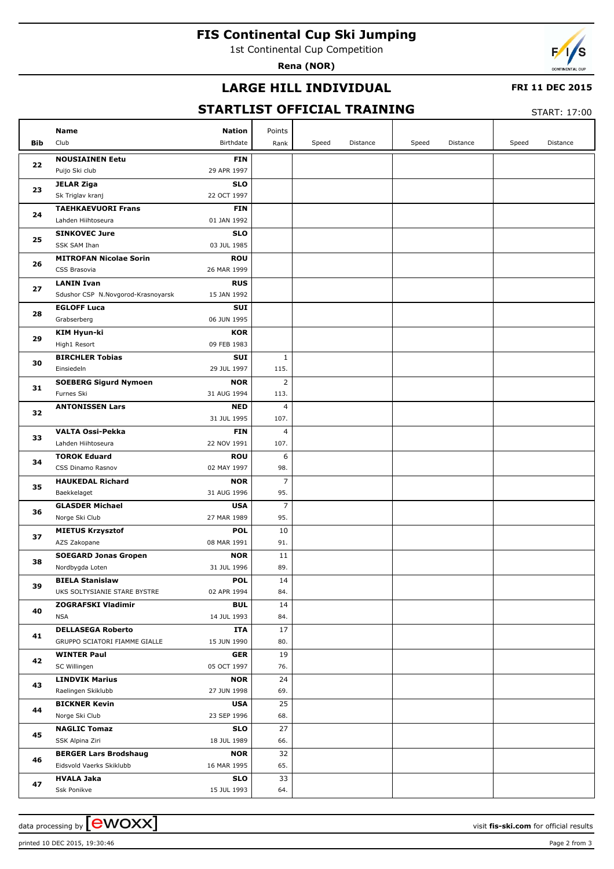# **FIS Continental Cup Ski Jumping**

1st Continental Cup Competition

**Rena (NOR)**



#### **LARGE HILL INDIVIDUAL**

#### **FRI 11 DEC 2015**

## **STARTLIST OFFICIAL TRAINING**

START: 17:00

|     | <b>Nation</b><br>Name                             | Points         |       |          |       |          |       |          |
|-----|---------------------------------------------------|----------------|-------|----------|-------|----------|-------|----------|
| Bib | Club<br>Birthdate                                 | Rank           | Speed | Distance | Speed | Distance | Speed | Distance |
|     | <b>NOUSIAINEN Eetu</b><br><b>FIN</b>              |                |       |          |       |          |       |          |
| 22  | 29 APR 1997<br>Puijo Ski club                     |                |       |          |       |          |       |          |
| 23  | <b>SLO</b><br><b>JELAR Ziga</b>                   |                |       |          |       |          |       |          |
|     | 22 OCT 1997<br>Sk Triglav kranj                   |                |       |          |       |          |       |          |
|     | <b>TAEHKAEVUORI Frans</b><br><b>FIN</b>           |                |       |          |       |          |       |          |
| 24  | 01 JAN 1992<br>Lahden Hiihtoseura                 |                |       |          |       |          |       |          |
|     | <b>SINKOVEC Jure</b><br><b>SLO</b>                |                |       |          |       |          |       |          |
| 25  | 03 JUL 1985<br><b>SSK SAM Ihan</b>                |                |       |          |       |          |       |          |
|     | <b>MITROFAN Nicolae Sorin</b><br><b>ROU</b>       |                |       |          |       |          |       |          |
| 26  | 26 MAR 1999<br>CSS Brasovia                       |                |       |          |       |          |       |          |
|     | <b>LANIN Ivan</b><br><b>RUS</b>                   |                |       |          |       |          |       |          |
| 27  | Sdushor CSP N.Novgorod-Krasnoyarsk<br>15 JAN 1992 |                |       |          |       |          |       |          |
|     | <b>EGLOFF Luca</b><br>SUI                         |                |       |          |       |          |       |          |
| 28  | 06 JUN 1995<br>Grabserberg                        |                |       |          |       |          |       |          |
|     | <b>KIM Hyun-ki</b><br><b>KOR</b>                  |                |       |          |       |          |       |          |
| 29  | 09 FEB 1983<br>High1 Resort                       |                |       |          |       |          |       |          |
|     | <b>BIRCHLER Tobias</b><br>SUI                     | $\mathbf{1}$   |       |          |       |          |       |          |
| 30  | 29 JUL 1997<br>Einsiedeln                         | 115.           |       |          |       |          |       |          |
|     | <b>SOEBERG Sigurd Nymoen</b><br><b>NOR</b>        | $\overline{2}$ |       |          |       |          |       |          |
| 31  | 31 AUG 1994<br>Furnes Ski                         | 113.           |       |          |       |          |       |          |
|     | <b>ANTONISSEN Lars</b><br><b>NED</b>              | $\overline{4}$ |       |          |       |          |       |          |
| 32  | 31 JUL 1995                                       | 107.           |       |          |       |          |       |          |
|     | <b>VALTA Ossi-Pekka</b><br><b>FIN</b>             | $\overline{4}$ |       |          |       |          |       |          |
| 33  | Lahden Hiihtoseura<br>22 NOV 1991                 | 107.           |       |          |       |          |       |          |
| 34  | <b>TOROK Eduard</b><br><b>ROU</b>                 | 6              |       |          |       |          |       |          |
|     | 02 MAY 1997<br>CSS Dinamo Rasnov                  | 98.            |       |          |       |          |       |          |
| 35  | <b>HAUKEDAL Richard</b><br><b>NOR</b>             | $\overline{7}$ |       |          |       |          |       |          |
|     | 31 AUG 1996<br>Baekkelaget                        | 95.            |       |          |       |          |       |          |
| 36  | <b>GLASDER Michael</b><br><b>USA</b>              | $\overline{7}$ |       |          |       |          |       |          |
|     | 27 MAR 1989<br>Norge Ski Club                     | 95.            |       |          |       |          |       |          |
| 37  | <b>MIETUS Krzysztof</b><br><b>POL</b>             | 10             |       |          |       |          |       |          |
|     | AZS Zakopane<br>08 MAR 1991                       | 91.            |       |          |       |          |       |          |
| 38  | <b>SOEGARD Jonas Gropen</b><br><b>NOR</b>         | 11             |       |          |       |          |       |          |
|     | Nordbygda Loten<br>31 JUL 1996                    | 89.            |       |          |       |          |       |          |
| 39  | <b>BIELA Stanislaw</b><br><b>POL</b>              | 14             |       |          |       |          |       |          |
|     | UKS SOLTYSIANIE STARE BYSTRE<br>02 APR 1994       | 84.            |       |          |       |          |       |          |
| 40  | <b>ZOGRAFSKI Vladimir</b><br><b>BUL</b>           | 14             |       |          |       |          |       |          |
|     | <b>NSA</b><br>14 JUL 1993                         | 84.            |       |          |       |          |       |          |
| 41  | <b>DELLASEGA Roberto</b><br>ITA                   | 17             |       |          |       |          |       |          |
|     | GRUPPO SCIATORI FIAMME GIALLE<br>15 JUN 1990      | 80.            |       |          |       |          |       |          |
| 42  | <b>WINTER Paul</b><br><b>GER</b>                  | 19             |       |          |       |          |       |          |
|     | 05 OCT 1997<br>SC Willingen                       | 76.            |       |          |       |          |       |          |
| 43  | <b>LINDVIK Marius</b><br><b>NOR</b>               | 24             |       |          |       |          |       |          |
|     | 27 JUN 1998<br>Raelingen Skiklubb                 | 69.            |       |          |       |          |       |          |
| 44  | <b>BICKNER Kevin</b><br><b>USA</b>                | 25             |       |          |       |          |       |          |
|     | Norge Ski Club<br>23 SEP 1996                     | 68.            |       |          |       |          |       |          |
| 45  | <b>NAGLIC Tomaz</b><br><b>SLO</b>                 | 27             |       |          |       |          |       |          |
|     | SSK Alpina Ziri<br>18 JUL 1989                    | 66.            |       |          |       |          |       |          |
| 46  | <b>BERGER Lars Brodshaug</b><br><b>NOR</b>        | 32             |       |          |       |          |       |          |
|     | Eidsvold Vaerks Skiklubb<br>16 MAR 1995           | 65.            |       |          |       |          |       |          |
| 47  | <b>HVALA Jaka</b><br><b>SLO</b>                   | 33             |       |          |       |          |       |          |
|     | Ssk Ponikve<br>15 JUL 1993                        | 64.            |       |          |       |          |       |          |

data processing by **CWOXX** and  $\overline{A}$  wisit **fis-ski.com** for official results